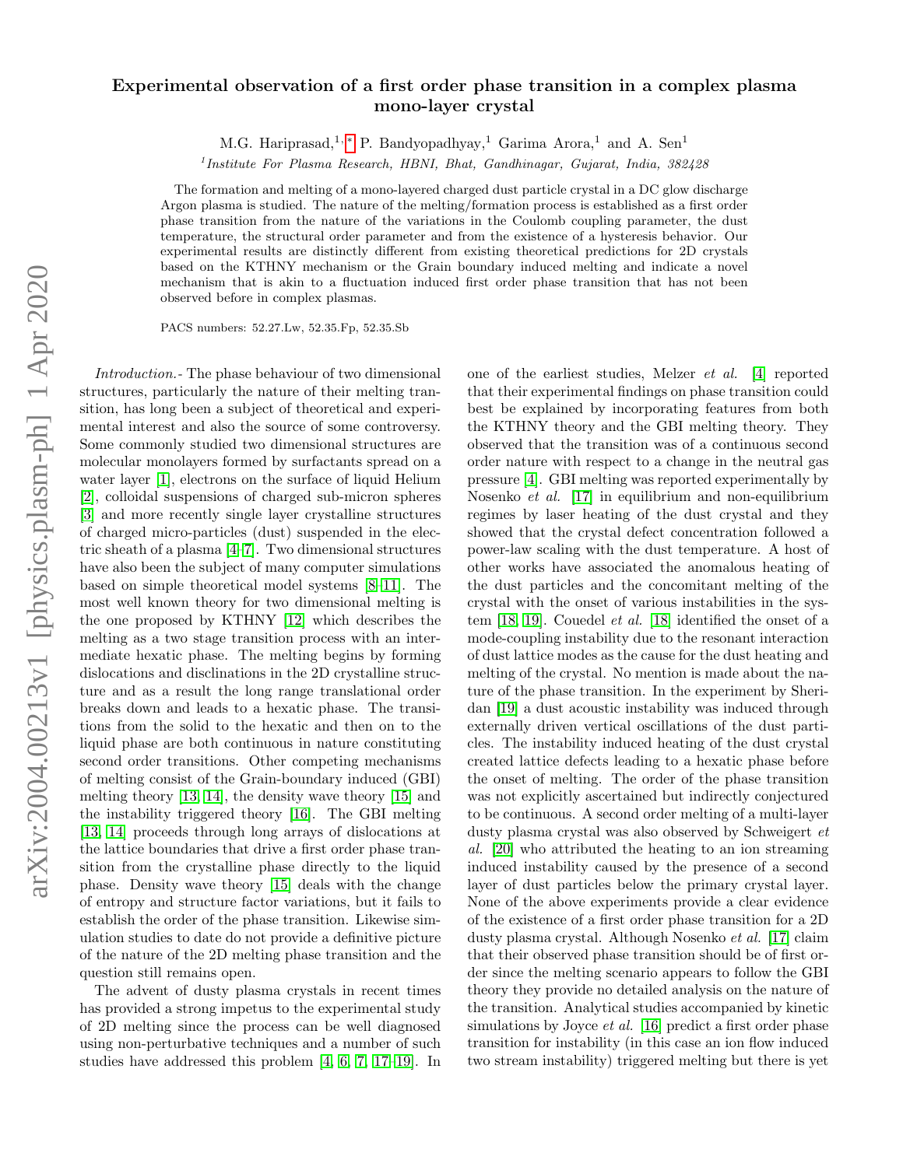## arXiv:2004.00213v1 [physics.plasm-ph] 1 Apr 2020 arXiv:2004.00213v1 [physics.plasm-ph] 1 Apr 2020

## Experimental observation of a first order phase transition in a complex plasma mono-layer crystal

M.G. Hariprasad,<sup>1,\*</sup> P. Bandyopadhyay,<sup>1</sup> Garima Arora,<sup>1</sup> and A. Sen<sup>1</sup>

<sup>1</sup> Institute For Plasma Research, HBNI, Bhat, Gandhinagar, Gujarat, India, 382428

The formation and melting of a mono-layered charged dust particle crystal in a DC glow discharge Argon plasma is studied. The nature of the melting/formation process is established as a first order phase transition from the nature of the variations in the Coulomb coupling parameter, the dust temperature, the structural order parameter and from the existence of a hysteresis behavior. Our experimental results are distinctly different from existing theoretical predictions for 2D crystals based on the KTHNY mechanism or the Grain boundary induced melting and indicate a novel mechanism that is akin to a fluctuation induced first order phase transition that has not been observed before in complex plasmas.

PACS numbers: 52.27.Lw, 52.35.Fp, 52.35.Sb

Introduction.- The phase behaviour of two dimensional structures, particularly the nature of their melting transition, has long been a subject of theoretical and experimental interest and also the source of some controversy. Some commonly studied two dimensional structures are molecular monolayers formed by surfactants spread on a water layer [\[1\]](#page-5-1), electrons on the surface of liquid Helium [\[2\]](#page-5-2), colloidal suspensions of charged sub-micron spheres [\[3\]](#page-5-3) and more recently single layer crystalline structures of charged micro-particles (dust) suspended in the electric sheath of a plasma [\[4–](#page-5-4)[7\]](#page-5-5). Two dimensional structures have also been the subject of many computer simulations based on simple theoretical model systems [\[8–](#page-5-6)[11\]](#page-5-7). The most well known theory for two dimensional melting is the one proposed by KTHNY [\[12\]](#page-5-8) which describes the melting as a two stage transition process with an intermediate hexatic phase. The melting begins by forming dislocations and disclinations in the 2D crystalline structure and as a result the long range translational order breaks down and leads to a hexatic phase. The transitions from the solid to the hexatic and then on to the liquid phase are both continuous in nature constituting second order transitions. Other competing mechanisms of melting consist of the Grain-boundary induced (GBI) melting theory [\[13,](#page-5-9) [14\]](#page-5-10), the density wave theory [\[15\]](#page-5-11) and the instability triggered theory [\[16\]](#page-5-12). The GBI melting [\[13,](#page-5-9) [14\]](#page-5-10) proceeds through long arrays of dislocations at the lattice boundaries that drive a first order phase transition from the crystalline phase directly to the liquid phase. Density wave theory [\[15\]](#page-5-11) deals with the change of entropy and structure factor variations, but it fails to establish the order of the phase transition. Likewise simulation studies to date do not provide a definitive picture of the nature of the 2D melting phase transition and the question still remains open.

The advent of dusty plasma crystals in recent times has provided a strong impetus to the experimental study of 2D melting since the process can be well diagnosed using non-perturbative techniques and a number of such studies have addressed this problem [\[4,](#page-5-4) [6,](#page-5-13) [7,](#page-5-5) [17–](#page-5-14)[19\]](#page-5-15). In one of the earliest studies, Melzer et al. [\[4\]](#page-5-4) reported that their experimental findings on phase transition could best be explained by incorporating features from both the KTHNY theory and the GBI melting theory. They observed that the transition was of a continuous second order nature with respect to a change in the neutral gas pressure [\[4\]](#page-5-4). GBI melting was reported experimentally by Nosenko et al. [\[17\]](#page-5-14) in equilibrium and non-equilibrium regimes by laser heating of the dust crystal and they showed that the crystal defect concentration followed a power-law scaling with the dust temperature. A host of other works have associated the anomalous heating of the dust particles and the concomitant melting of the crystal with the onset of various instabilities in the system [\[18,](#page-5-16) [19\]](#page-5-15). Couedel et al. [\[18\]](#page-5-16) identified the onset of a mode-coupling instability due to the resonant interaction of dust lattice modes as the cause for the dust heating and melting of the crystal. No mention is made about the nature of the phase transition. In the experiment by Sheridan [\[19\]](#page-5-15) a dust acoustic instability was induced through externally driven vertical oscillations of the dust particles. The instability induced heating of the dust crystal created lattice defects leading to a hexatic phase before the onset of melting. The order of the phase transition was not explicitly ascertained but indirectly conjectured to be continuous. A second order melting of a multi-layer dusty plasma crystal was also observed by Schweigert et al. [\[20\]](#page-5-17) who attributed the heating to an ion streaming induced instability caused by the presence of a second layer of dust particles below the primary crystal layer. None of the above experiments provide a clear evidence of the existence of a first order phase transition for a 2D dusty plasma crystal. Although Nosenko et al. [\[17\]](#page-5-14) claim that their observed phase transition should be of first order since the melting scenario appears to follow the GBI theory they provide no detailed analysis on the nature of the transition. Analytical studies accompanied by kinetic simulations by Joyce *et al.* [\[16\]](#page-5-12) predict a first order phase transition for instability (in this case an ion flow induced two stream instability) triggered melting but there is yet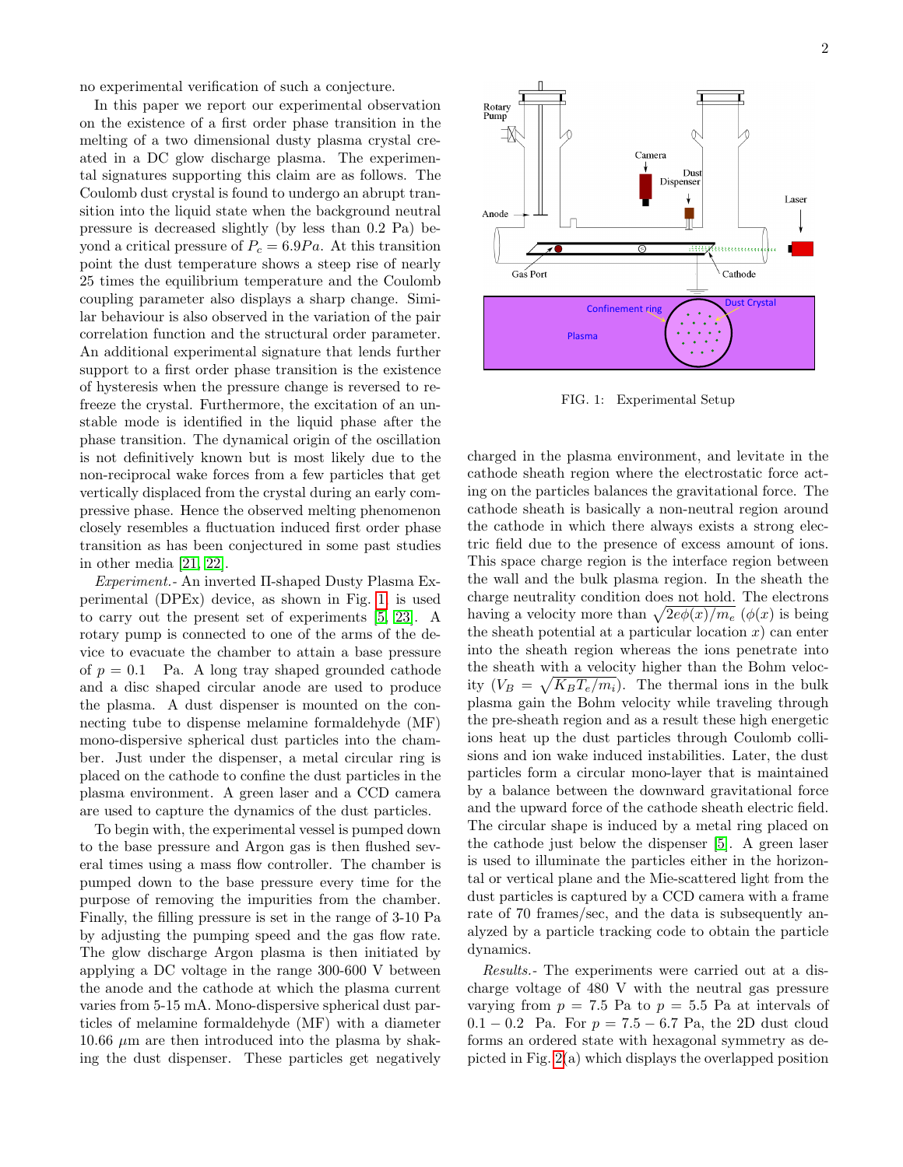no experimental verification of such a conjecture.

In this paper we report our experimental observation on the existence of a first order phase transition in the melting of a two dimensional dusty plasma crystal created in a DC glow discharge plasma. The experimental signatures supporting this claim are as follows. The Coulomb dust crystal is found to undergo an abrupt transition into the liquid state when the background neutral pressure is decreased slightly (by less than 0.2 Pa) beyond a critical pressure of  $P_c = 6.9Pa$ . At this transition point the dust temperature shows a steep rise of nearly 25 times the equilibrium temperature and the Coulomb coupling parameter also displays a sharp change. Similar behaviour is also observed in the variation of the pair correlation function and the structural order parameter. An additional experimental signature that lends further support to a first order phase transition is the existence of hysteresis when the pressure change is reversed to refreeze the crystal. Furthermore, the excitation of an unstable mode is identified in the liquid phase after the phase transition. The dynamical origin of the oscillation is not definitively known but is most likely due to the non-reciprocal wake forces from a few particles that get vertically displaced from the crystal during an early compressive phase. Hence the observed melting phenomenon closely resembles a fluctuation induced first order phase transition as has been conjectured in some past studies in other media [\[21,](#page-5-18) [22\]](#page-5-19).

Experiment.- An inverted Π-shaped Dusty Plasma Experimental (DPEx) device, as shown in Fig. [1,](#page-1-0) is used to carry out the present set of experiments [\[5,](#page-5-20) [23\]](#page-5-21). A rotary pump is connected to one of the arms of the device to evacuate the chamber to attain a base pressure of  $p = 0.1$  Pa. A long tray shaped grounded cathode and a disc shaped circular anode are used to produce the plasma. A dust dispenser is mounted on the connecting tube to dispense melamine formaldehyde (MF) mono-dispersive spherical dust particles into the chamber. Just under the dispenser, a metal circular ring is placed on the cathode to confine the dust particles in the plasma environment. A green laser and a CCD camera are used to capture the dynamics of the dust particles. correlation innet<br>the mathematic fractuation and the structural order parameters. Frame and<br>supervisor is the extendion in the particles get negatively inference, the excitation of an umber<br>stable mode is identified in th

To begin with, the experimental vessel is pumped down to the base pressure and Argon gas is then flushed several times using a mass flow controller. The chamber is pumped down to the base pressure every time for the purpose of removing the impurities from the chamber. Finally, the filling pressure is set in the range of 3-10 Pa by adjusting the pumping speed and the gas flow rate. The glow discharge Argon plasma is then initiated by applying a DC voltage in the range 300-600 V between the anode and the cathode at which the plasma current varies from 5-15 mA. Mono-dispersive spherical dust particles of melamine formaldehyde (MF) with a diameter 10.66  $\mu$ m are then introduced into the plasma by shak-



<span id="page-1-0"></span>FIG. 1: Experimental Setup

charged in the plasma environment, and levitate in the cathode sheath region where the electrostatic force acting on the particles balances the gravitational force. The cathode sheath is basically a non-neutral region around the cathode in which there always exists a strong electric field due to the presence of excess amount of ions. This space charge region is the interface region between the wall and the bulk plasma region. In the sheath the charge neutrality condition does not hold. The electrons having a velocity more than  $\sqrt{2e\phi(x)/m_e}$  ( $\phi(x)$  is being the sheath potential at a particular location  $x$ ) can enter into the sheath region whereas the ions penetrate into the sheath with a velocity higher than the Bohm velocity  $(V_B = \sqrt{K_B T_e/m_i})$ . The thermal ions in the bulk plasma gain the Bohm velocity while traveling through the pre-sheath region and as a result these high energetic ions heat up the dust particles through Coulomb collisions and ion wake induced instabilities. Later, the dust particles form a circular mono-layer that is maintained by a balance between the downward gravitational force and the upward force of the cathode sheath electric field. The circular shape is induced by a metal ring placed on the cathode just below the dispenser [\[5\]](#page-5-20). A green laser is used to illuminate the particles either in the horizontal or vertical plane and the Mie-scattered light from the dust particles is captured by a CCD camera with a frame rate of 70 frames/sec, and the data is subsequently analyzed by a particle tracking code to obtain the particle dynamics.

Results.- The experiments were carried out at a discharge voltage of 480 V with the neutral gas pressure varying from  $p = 7.5$  Pa to  $p = 5.5$  Pa at intervals of 0.1 – 0.2 Pa. For  $p = 7.5 - 6.7$  Pa, the 2D dust cloud forms an ordered state with hexagonal symmetry as depicted in Fig. [2\(](#page-2-0)a) which displays the overlapped position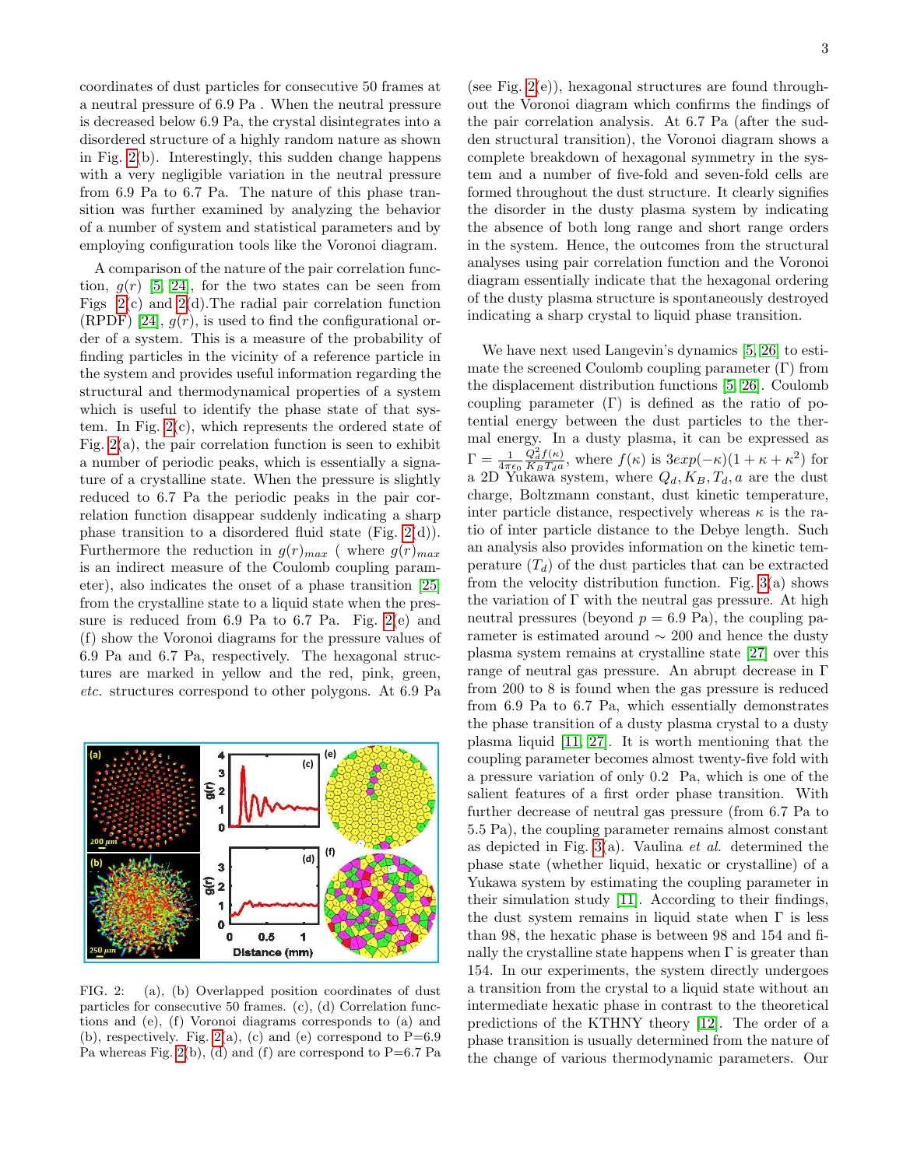coordinates of dust particles for consecutive 50 frames at a neutral pressure of 6.9 Pa . When the neutral pressure is decreased below 6.9 Pa, the crystal disintegrates into a disordered structure of a highly random nature as shown in Fig. [2\(](#page-2-0)b). Interestingly, this sudden change happens with a very negligible variation in the neutral pressure from 6.9 Pa to 6.7 Pa. The nature of this phase transition was further examined by analyzing the behavior of a number of system and statistical parameters and by employing configuration tools like the Voronoi diagram.

A comparison of the nature of the pair correlation function,  $q(r)$  [\[5,](#page-5-20) [24\]](#page-5-22), for the two states can be seen from Figs [2\(](#page-2-0)c) and [2\(](#page-2-0)d).The radial pair correlation function (RPDF) [\[24\]](#page-5-22),  $g(r)$ , is used to find the configurational order of a system. This is a measure of the probability of finding particles in the vicinity of a reference particle in the system and provides useful information regarding the structural and thermodynamical properties of a system which is useful to identify the phase state of that system. In Fig. [2\(](#page-2-0)c), which represents the ordered state of Fig.  $2(a)$ , the pair correlation function is seen to exhibit a number of periodic peaks, which is essentially a signature of a crystalline state. When the pressure is slightly reduced to 6.7 Pa the periodic peaks in the pair correlation function disappear suddenly indicating a sharp phase transition to a disordered fluid state (Fig. [2\(](#page-2-0)d)). Furthermore the reduction in  $g(r)_{max}$  (where  $g(r)_{max}$ ) is an indirect measure of the Coulomb coupling parameter), also indicates the onset of a phase transition [\[25\]](#page-5-23) from the crystalline state to a liquid state when the pressure is reduced from 6.9 Pa to 6.7 Pa. Fig. [2\(](#page-2-0)e) and (f) show the Voronoi diagrams for the pressure values of 6.9 Pa and 6.7 Pa, respectively. The hexagonal structures are marked in yellow and the red, pink, green, etc. structures correspond to other polygons. At 6.9 Pa



<span id="page-2-0"></span>FIG. 2: (a), (b) Overlapped position coordinates of dust particles for consecutive 50 frames. (c), (d) Correlation functions and (e), (f) Voronoi diagrams corresponds to (a) and (b), respectively. Fig. [2\(](#page-2-0)a), (c) and (e) correspond to  $P=6.9$ Pa whereas Fig. [2\(](#page-2-0)b), (d) and (f) are correspond to  $P=6.7$  Pa

(see Fig. [2\(](#page-2-0)e)), hexagonal structures are found throughout the Voronoi diagram which confirms the findings of the pair correlation analysis. At 6.7 Pa (after the sudden structural transition), the Voronoi diagram shows a complete breakdown of hexagonal symmetry in the system and a number of five-fold and seven-fold cells are formed throughout the dust structure. It clearly signifies the disorder in the dusty plasma system by indicating the absence of both long range and short range orders in the system. Hence, the outcomes from the structural analyses using pair correlation function and the Voronoi diagram essentially indicate that the hexagonal ordering of the dusty plasma structure is spontaneously destroyed indicating a sharp crystal to liquid phase transition.

We have next used Langevin's dynamics [\[5,](#page-5-20) [26\]](#page-5-24) to estimate the screened Coulomb coupling parameter  $(\Gamma)$  from the displacement distribution functions [\[5,](#page-5-20) [26\]](#page-5-24). Coulomb coupling parameter  $(Γ)$  is defined as the ratio of potential energy between the dust particles to the thermal energy. In a dusty plasma, it can be expressed as  $\Gamma = \frac{1}{4\pi\epsilon_0}$  $Q_d^2 f(\kappa)$  $\frac{Q_d^2 f(\kappa)}{K_B T_d a}$ , where  $f(\kappa)$  is  $3exp(-\kappa)(1 + \kappa + \kappa^2)$  for a 2D Yukawa system, where  $Q_d, K_B, T_d, a$  are the dust charge, Boltzmann constant, dust kinetic temperature, inter particle distance, respectively whereas  $\kappa$  is the ratio of inter particle distance to the Debye length. Such an analysis also provides information on the kinetic temperature  $(T_d)$  of the dust particles that can be extracted from the velocity distribution function. Fig.  $3(a)$  shows the variation of  $\Gamma$  with the neutral gas pressure. At high neutral pressures (beyond  $p = 6.9$  Pa), the coupling parameter is estimated around  $\sim 200$  and hence the dusty plasma system remains at crystalline state [\[27\]](#page-5-25) over this range of neutral gas pressure. An abrupt decrease in Γ from 200 to 8 is found when the gas pressure is reduced from 6.9 Pa to 6.7 Pa, which essentially demonstrates the phase transition of a dusty plasma crystal to a dusty plasma liquid [\[11,](#page-5-7) [27\]](#page-5-25). It is worth mentioning that the coupling parameter becomes almost twenty-five fold with a pressure variation of only 0.2 Pa, which is one of the salient features of a first order phase transition. With further decrease of neutral gas pressure (from 6.7 Pa to 5.5 Pa), the coupling parameter remains almost constant as depicted in Fig.  $3(a)$ . Vaulina *et al.* determined the phase state (whether liquid, hexatic or crystalline) of a Yukawa system by estimating the coupling parameter in their simulation study [\[11\]](#page-5-7). According to their findings, the dust system remains in liquid state when  $\Gamma$  is less than 98, the hexatic phase is between 98 and 154 and finally the crystalline state happens when  $\Gamma$  is greater than 154. In our experiments, the system directly undergoes a transition from the crystal to a liquid state without an intermediate hexatic phase in contrast to the theoretical predictions of the KTHNY theory [\[12\]](#page-5-8). The order of a phase transition is usually determined from the nature of the change of various thermodynamic parameters. Our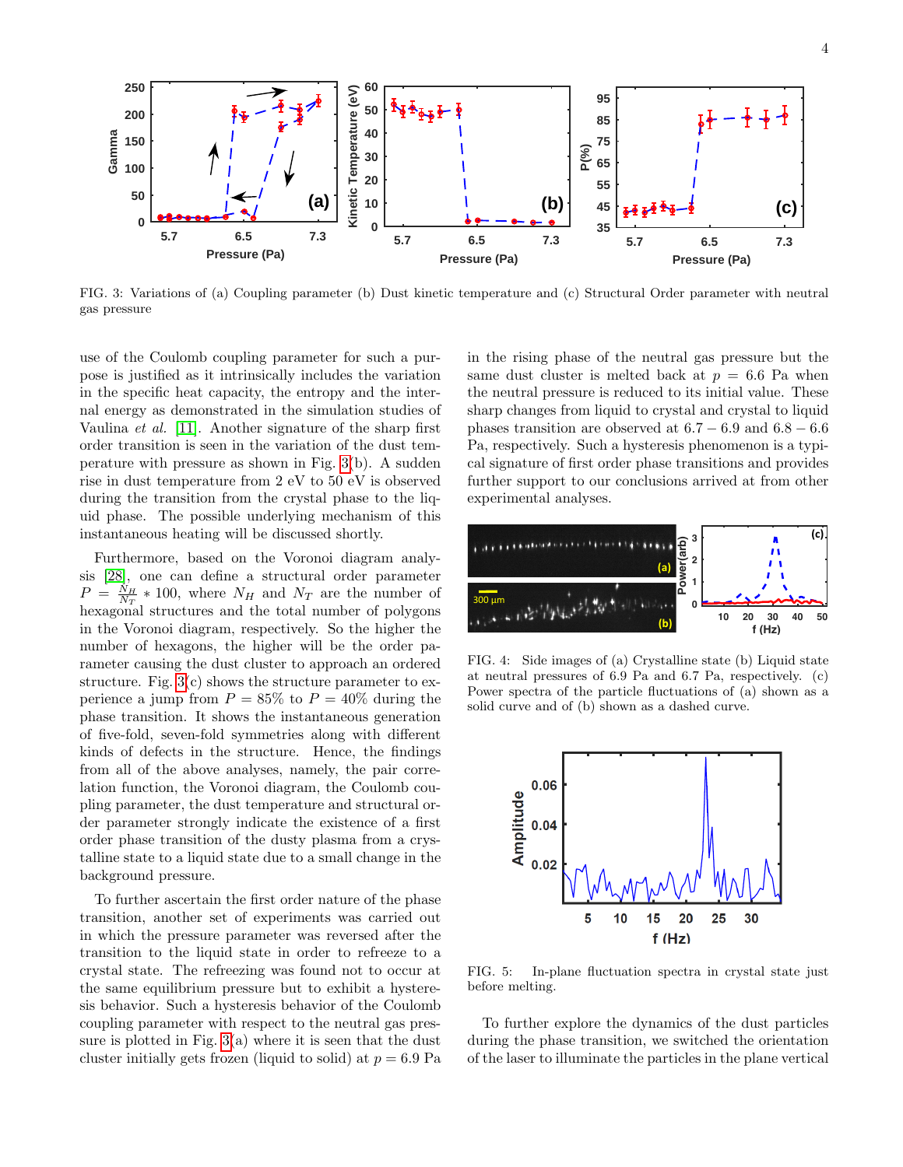4



<span id="page-3-0"></span>FIG. 3: Variations of (a) Coupling parameter (b) Dust kinetic temperature and (c) Structural Order parameter with neutral gas pressure

use of the Coulomb coupling parameter for such a purpose is justified as it intrinsically includes the variation in the specific heat capacity, the entropy and the internal energy as demonstrated in the simulation studies of Vaulina et al. [\[11\]](#page-5-7). Another signature of the sharp first order transition is seen in the variation of the dust temperature with pressure as shown in Fig. [3\(](#page-3-0)b). A sudden rise in dust temperature from 2 eV to 50 eV is observed during the transition from the crystal phase to the liquid phase. The possible underlying mechanism of this instantaneous heating will be discussed shortly.

Furthermore, based on the Voronoi diagram analysis [\[28\]](#page-5-26), one can define a structural order parameter  $P = \frac{N_H}{N_T} * 100$ , where  $N_H$  and  $N_T$  are the number of hexagonal structures and the total number of polygons in the Voronoi diagram, respectively. So the higher the number of hexagons, the higher will be the order parameter causing the dust cluster to approach an ordered structure. Fig.  $3(c)$  shows the structure parameter to experience a jump from  $P = 85\%$  to  $P = 40\%$  during the phase transition. It shows the instantaneous generation of five-fold, seven-fold symmetries along with different kinds of defects in the structure. Hence, the findings from all of the above analyses, namely, the pair correlation function, the Voronoi diagram, the Coulomb coupling parameter, the dust temperature and structural order parameter strongly indicate the existence of a first order phase transition of the dusty plasma from a crystalline state to a liquid state due to a small change in the background pressure.

To further ascertain the first order nature of the phase transition, another set of experiments was carried out in which the pressure parameter was reversed after the transition to the liquid state in order to refreeze to a crystal state. The refreezing was found not to occur at the same equilibrium pressure but to exhibit a hysteresis behavior. Such a hysteresis behavior of the Coulomb coupling parameter with respect to the neutral gas pressure is plotted in Fig.  $3(a)$  where it is seen that the dust cluster initially gets frozen (liquid to solid) at  $p = 6.9$  Pa

in the rising phase of the neutral gas pressure but the same dust cluster is melted back at  $p = 6.6$  Pa when the neutral pressure is reduced to its initial value. These sharp changes from liquid to crystal and crystal to liquid phases transition are observed at  $6.7 - 6.9$  and  $6.8 - 6.6$ Pa, respectively. Such a hysteresis phenomenon is a typical signature of first order phase transitions and provides further support to our conclusions arrived at from other experimental analyses.



<span id="page-3-1"></span>FIG. 4: Side images of (a) Crystalline state (b) Liquid state at neutral pressures of 6.9 Pa and 6.7 Pa, respectively. (c) Power spectra of the particle fluctuations of (a) shown as a solid curve and of (b) shown as a dashed curve.



<span id="page-3-2"></span>FIG. 5: In-plane fluctuation spectra in crystal state just before melting.

To further explore the dynamics of the dust particles during the phase transition, we switched the orientation of the laser to illuminate the particles in the plane vertical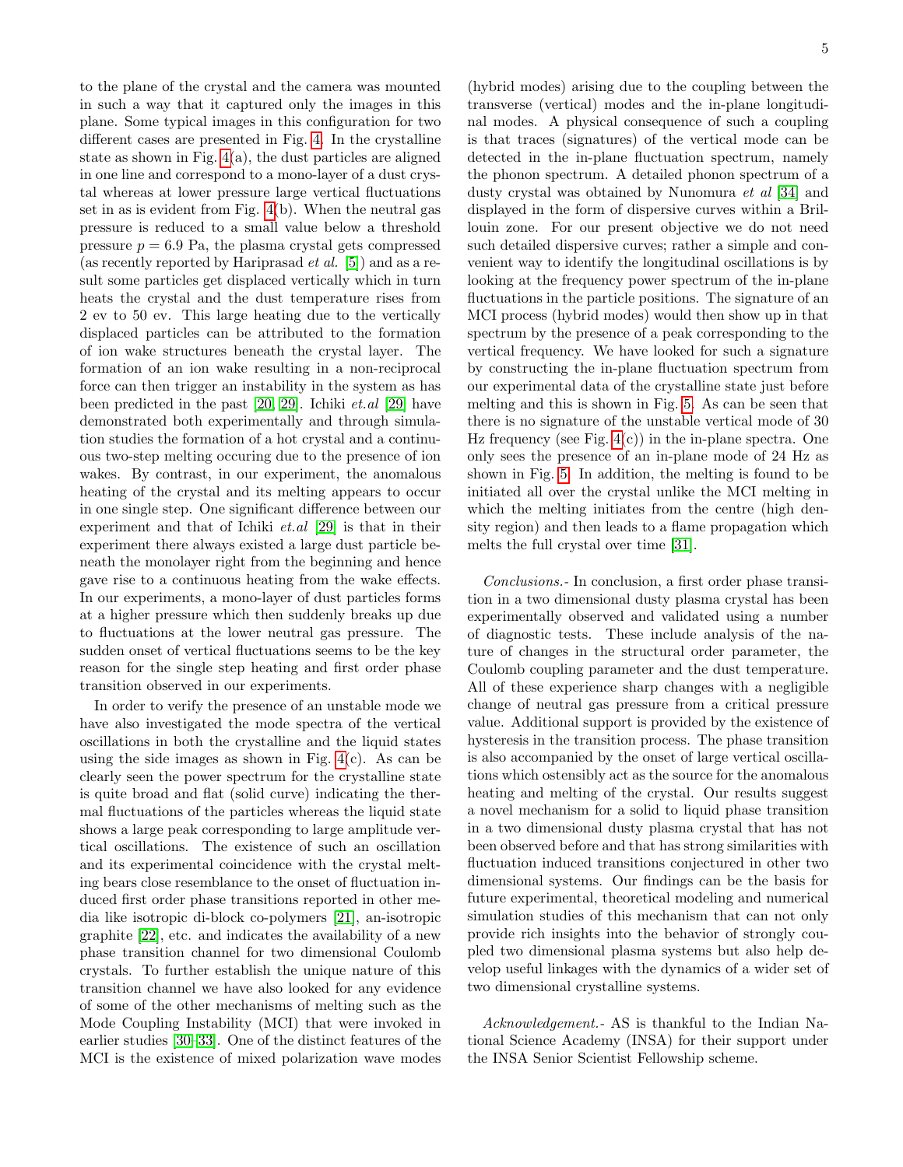5

to the plane of the crystal and the camera was mounted in such a way that it captured only the images in this plane. Some typical images in this configuration for two different cases are presented in Fig. [4.](#page-3-1) In the crystalline state as shown in Fig. [4\(](#page-3-1)a), the dust particles are aligned in one line and correspond to a mono-layer of a dust crystal whereas at lower pressure large vertical fluctuations set in as is evident from Fig. [4\(](#page-3-1)b). When the neutral gas pressure is reduced to a small value below a threshold pressure  $p = 6.9$  Pa, the plasma crystal gets compressed (as recently reported by Hariprasad et al. [\[5\]](#page-5-20)) and as a result some particles get displaced vertically which in turn heats the crystal and the dust temperature rises from 2 ev to 50 ev. This large heating due to the vertically displaced particles can be attributed to the formation of ion wake structures beneath the crystal layer. The formation of an ion wake resulting in a non-reciprocal force can then trigger an instability in the system as has been predicted in the past [\[20,](#page-5-17) [29\]](#page-5-27). Ichiki et.al [\[29\]](#page-5-27) have demonstrated both experimentally and through simulation studies the formation of a hot crystal and a continuous two-step melting occuring due to the presence of ion wakes. By contrast, in our experiment, the anomalous heating of the crystal and its melting appears to occur in one single step. One significant difference between our experiment and that of Ichiki et.al [\[29\]](#page-5-27) is that in their experiment there always existed a large dust particle beneath the monolayer right from the beginning and hence gave rise to a continuous heating from the wake effects. In our experiments, a mono-layer of dust particles forms at a higher pressure which then suddenly breaks up due to fluctuations at the lower neutral gas pressure. The sudden onset of vertical fluctuations seems to be the key reason for the single step heating and first order phase transition observed in our experiments.

In order to verify the presence of an unstable mode we have also investigated the mode spectra of the vertical oscillations in both the crystalline and the liquid states using the side images as shown in Fig.  $4(c)$ . As can be clearly seen the power spectrum for the crystalline state is quite broad and flat (solid curve) indicating the thermal fluctuations of the particles whereas the liquid state shows a large peak corresponding to large amplitude vertical oscillations. The existence of such an oscillation and its experimental coincidence with the crystal melting bears close resemblance to the onset of fluctuation induced first order phase transitions reported in other media like isotropic di-block co-polymers [\[21\]](#page-5-18), an-isotropic graphite [\[22\]](#page-5-19), etc. and indicates the availability of a new phase transition channel for two dimensional Coulomb crystals. To further establish the unique nature of this transition channel we have also looked for any evidence of some of the other mechanisms of melting such as the Mode Coupling Instability (MCI) that were invoked in earlier studies [\[30](#page-5-28)[–33\]](#page-5-29). One of the distinct features of the MCI is the existence of mixed polarization wave modes

(hybrid modes) arising due to the coupling between the transverse (vertical) modes and the in-plane longitudinal modes. A physical consequence of such a coupling is that traces (signatures) of the vertical mode can be detected in the in-plane fluctuation spectrum, namely the phonon spectrum. A detailed phonon spectrum of a dusty crystal was obtained by Nunomura et al [\[34\]](#page-5-30) and displayed in the form of dispersive curves within a Brillouin zone. For our present objective we do not need such detailed dispersive curves; rather a simple and convenient way to identify the longitudinal oscillations is by looking at the frequency power spectrum of the in-plane fluctuations in the particle positions. The signature of an MCI process (hybrid modes) would then show up in that spectrum by the presence of a peak corresponding to the vertical frequency. We have looked for such a signature by constructing the in-plane fluctuation spectrum from our experimental data of the crystalline state just before melting and this is shown in Fig. [5.](#page-3-2) As can be seen that there is no signature of the unstable vertical mode of 30 Hz frequency (see Fig.  $4(c)$ ) in the in-plane spectra. One only sees the presence of an in-plane mode of 24 Hz as shown in Fig. [5.](#page-3-2) In addition, the melting is found to be initiated all over the crystal unlike the MCI melting in which the melting initiates from the centre (high density region) and then leads to a flame propagation which melts the full crystal over time [\[31\]](#page-5-31).

Conclusions.- In conclusion, a first order phase transition in a two dimensional dusty plasma crystal has been experimentally observed and validated using a number of diagnostic tests. These include analysis of the nature of changes in the structural order parameter, the Coulomb coupling parameter and the dust temperature. All of these experience sharp changes with a negligible change of neutral gas pressure from a critical pressure value. Additional support is provided by the existence of hysteresis in the transition process. The phase transition is also accompanied by the onset of large vertical oscillations which ostensibly act as the source for the anomalous heating and melting of the crystal. Our results suggest a novel mechanism for a solid to liquid phase transition in a two dimensional dusty plasma crystal that has not been observed before and that has strong similarities with fluctuation induced transitions conjectured in other two dimensional systems. Our findings can be the basis for future experimental, theoretical modeling and numerical simulation studies of this mechanism that can not only provide rich insights into the behavior of strongly coupled two dimensional plasma systems but also help develop useful linkages with the dynamics of a wider set of two dimensional crystalline systems.

Acknowledgement. AS is thankful to the Indian National Science Academy (INSA) for their support under the INSA Senior Scientist Fellowship scheme.